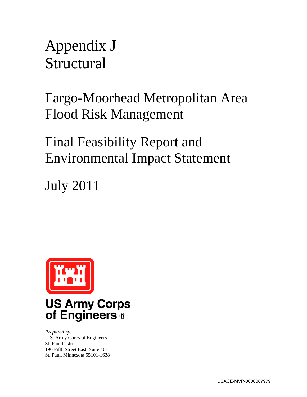Appendix J **Structural** 

# Fargo-Moorhead Metropolitan Area Flood Risk Management

Final Feasibility Report and Environmental Impact Statement

July 2011



*Prepared by:* U.S. Army Corps of Engineers St. Paul District 190 Fifth Street East, Suite 401 St. Paul, Minnesota 55101-1638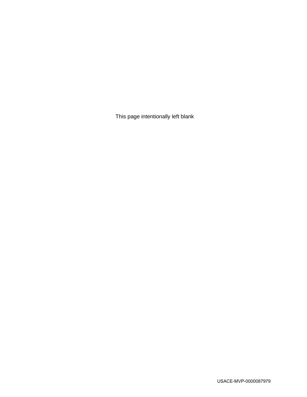This page intentionally left blank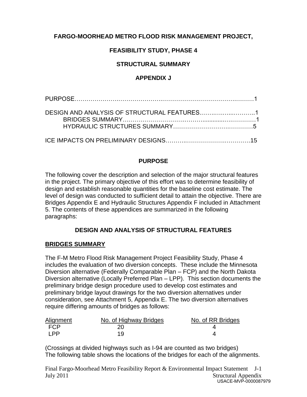# **FARGO-MOORHEAD METRO FLOOD RISK MANAGEMENT PROJECT,**

# **FEASIBILITY STUDY, PHASE 4**

# **STRUCTURAL SUMMARY**

#### **APPENDIX J**

#### **PURPOSE**

The following cover the description and selection of the major structural features in the project. The primary objective of this effort was to determine feasibility of design and establish reasonable quantities for the baseline cost estimate. The level of design was conducted to sufficient detail to attain the objective. There are Bridges Appendix E and Hydraulic Structures Appendix F included in Attachment 5. The contents of these appendices are summarized in the following paragraphs:

#### **DESIGN AND ANALYSIS OF STRUCTURAL FEATURES**

#### **BRIDGES SUMMARY**

The F-M Metro Flood Risk Management Project Feasibility Study, Phase 4 includes the evaluation of two diversion concepts. These include the Minnesota Diversion alternative (Federally Comparable Plan – FCP) and the North Dakota Diversion alternative (Locally Preferred Plan – LPP). This section documents the preliminary bridge design procedure used to develop cost estimates and preliminary bridge layout drawings for the two diversion alternatives under consideration, see Attachment 5, Appendix E. The two diversion alternatives require differing amounts of bridges as follows:

| <b>Alignment</b> | No. of Highway Bridges | No. of RR Bridges |
|------------------|------------------------|-------------------|
| <b>FCP</b>       |                        |                   |
| I PP             | 19                     |                   |

(Crossings at divided highways such as I-94 are counted as two bridges) The following table shows the locations of the bridges for each of the alignments.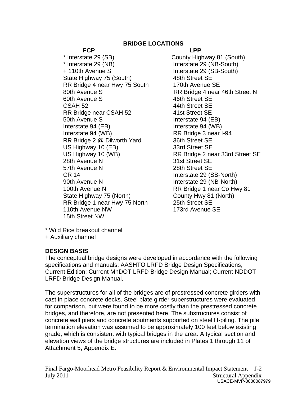#### **BRIDGE LOCATIONS**

#### **FCP** LPP

\* Interstate 29 (SB) County Highway 81 (South) \* Interstate 29 (NB) lnterstate 29 (NB-South) + 110th Avenue S Interstate 29 (SB-South) State Highway 75 (South) 48th Street SE RR Bridge 4 near Hwy 75 South 170th Avenue SE 80th Avenue S **RR** Bridge 4 near 46th Street N 60th Avenue S 46th Street SE CSAH 52 44th Street SE RR Bridge near CSAH 52 41st Street SE 50th Avenue S **Interstate 94 (EB)** Interstate 94 (EB) Interstate 94 (WB) Interstate 94 (WB) RR Bridge 3 near I-94 RR Bridge 2 @ Dilworth Yard 36th Street SE US Highway 10 (EB) 33rd Street SE 28th Avenue N 31st Street SE 57th Avenue N 28th Street SE CR 14 Interstate 29 (SB-North) 90th Avenue N **Interstate 29** (NB-North) 100th Avenue N RR Bridge 1 near Co Hwy 81 State Highway 75 (North) County Hwy 81 (North) RR Bridge 1 near Hwy 75 North 25th Street SE 110th Avenue NW 173rd Avenue SE 15th Street NW

US Highway 10 (WB) RR Bridge 2 near 33rd Street SE

\* Wild Rice breakout channel

+ Auxiliary channel

# **DESIGN BASIS**

The conceptual bridge designs were developed in accordance with the following specifications and manuals: AASHTO LRFD Bridge Design Specifications, Current Edition; Current MnDOT LRFD Bridge Design Manual; Current NDDOT LRFD Bridge Design Manual.

The superstructures for all of the bridges are of prestressed concrete girders with cast in place concrete decks. Steel plate girder superstructures were evaluated for comparison, but were found to be more costly than the prestressed concrete bridges, and therefore, are not presented here. The substructures consist of concrete wall piers and concrete abutments supported on steel H-piling. The pile termination elevation was assumed to be approximately 100 feet below existing grade, which is consistent with typical bridges in the area. A typical section and elevation views of the bridge structures are included in Plates 1 through 11 of Attachment 5, Appendix E.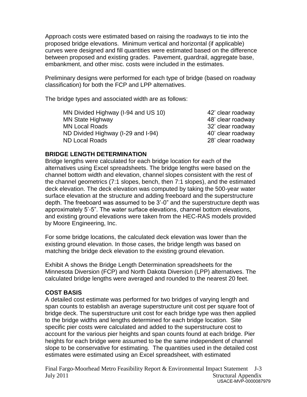Approach costs were estimated based on raising the roadways to tie into the proposed bridge elevations. Minimum vertical and horizontal (if applicable) curves were designed and fill quantities were estimated based on the difference between proposed and existing grades. Pavement, guardrail, aggregate base, embankment, and other misc. costs were included in the estimates.

Preliminary designs were performed for each type of bridge (based on roadway classification) for both the FCP and LPP alternatives.

The bridge types and associated width are as follows:

MN Divided Highway (I-94 and US 10) 42' clear roadway MN State Highway **All and State Highway** 48' clear roadway MN Local Roads **32'** clear roadway ND Divided Highway (I-29 and I-94) 40' clear roadway ND Local Roads 28' clear roadway

#### **BRIDGE LENGTH DETERMINATION**

Bridge lengths were calculated for each bridge location for each of the alternatives using Excel spreadsheets. The bridge lengths were based on the channel bottom width and elevation, channel slopes consistent with the rest of the channel geometrics (7:1 slopes, bench, then 7:1 slopes), and the estimated deck elevation. The deck elevation was computed by taking the 500-year water surface elevation at the structure and adding freeboard and the superstructure depth. The freeboard was assumed to be 3'-0" and the superstructure depth was approximately 5'-5". The water surface elevations, channel bottom elevations, and existing ground elevations were taken from the HEC-RAS models provided by Moore Engineering, Inc.

For some bridge locations, the calculated deck elevation was lower than the existing ground elevation. In those cases, the bridge length was based on matching the bridge deck elevation to the existing ground elevation.

Exhibit A shows the Bridge Length Determination spreadsheets for the Minnesota Diversion (FCP) and North Dakota Diversion (LPP) alternatives. The calculated bridge lengths were averaged and rounded to the nearest 20 feet.

#### **COST BASIS**

A detailed cost estimate was performed for two bridges of varying length and span counts to establish an average superstructure unit cost per square foot of bridge deck. The superstructure unit cost for each bridge type was then applied to the bridge widths and lengths determined for each bridge location. Site specific pier costs were calculated and added to the superstructure cost to account for the various pier heights and span counts found at each bridge. Pier heights for each bridge were assumed to be the same independent of channel slope to be conservative for estimating. The quantities used in the detailed cost estimates were estimated using an Excel spreadsheet, with estimated

Final Fargo-Moorhead Metro Feasibility Report & Environmental Impact Statement J-3 July 2011 Structural Appendix USACE-MVP-0000087979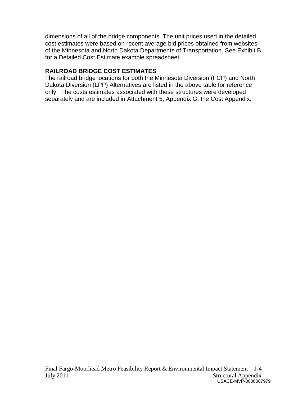dimensions of all of the bridge components. The unit prices used in the detailed cost estimates were based on recent average bid prices obtained from websites of the Minnesota and North Dakota Departments of Transportation. See Exhibit B for a Detailed Cost Estimate example spreadsheet.

### **RAILROAD BRIDGE COST ESTIMATES**

The railroad bridge locations for both the Minnesota Diversion (FCP) and North Dakota Diversion (LPP) Alternatives are listed in the above table for reference only. The costs estimates associated with these structures were developed separately and are included in Attachment 5, Appendix G, the Cost Appendix.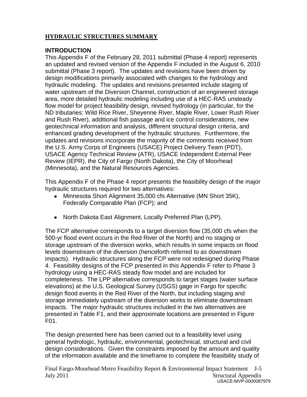### **HYDRAULIC STRUCTURES SUMMARY**

#### **INTRODUCTION**

This Appendix F of the February 28, 2011 submittal (Phase 4 report) represents an updated and revised version of the Appendix F included in the August 6, 2010 submittal (Phase 3 report). The updates and revisions have been driven by design modifications primarily associated with changes to the hydrology and hydraulic modeling. The updates and revisions presented include staging of water upstream of the Diversion Channel, construction of an engineered storage area, more detailed hydraulic modeling including use of a HEC-RAS unsteady flow model for project feasibility design, revised hydrology (in particular, for the ND tributaries: Wild Rice River, Sheyenne River, Maple River, Lower Rush River and Rush River), additional fish passage and ice control considerations, new geotechnical information and analysis, different structural design criteria, and enhanced grading development of the hydraulic structures. Furthermore, the updates and revisions incorporate the majority of the comments received from the U.S. Army Corps of Engineers (USACE) Project Delivery Team (PDT), USACE Agency Technical Review (ATR), USACE Independent External Peer Review (IEPR), the City of Fargo (North Dakota), the City of Moorhead (Minnesota), and the Natural Resources Agencies.

This Appendix F of the Phase 4 report presents the feasibility design of the major hydraulic structures required for two alternatives:

- Minnesota Short Alignment 35,000 cfs Alternative (MN Short 35K), Federally Comparable Plan (FCP); and
- North Dakota East Alignment, Locally Preferred Plan (LPP).

The FCP alternative corresponds to a target diversion flow (35,000 cfs when the 500-yr flood event occurs in the Red River of the North) and no staging or storage upstream of the diversion works, which results in some impacts on flood levels downstream of the diversion (henceforth referred to as downstream impacts). Hydraulic structures along the FCP were not redesigned during Phase 4. Feasibility designs of the FCP presented in this Appendix F refer to Phase 3 hydrology using a HEC-RAS steady flow model and are included for completeness. The LPP alternative corresponds to target stages (water surface elevations) at the U.S. Geological Survey (USGS) gage in Fargo for specific design flood events in the Red River of the North, but including staging and storage immediately upstream of the diversion works to eliminate downstream impacts. The major hydraulic structures included in the two alternatives are presented in Table F1, and their approximate locations are presented in Figure F01.

The design presented here has been carried out to a feasibility level using general hydrologic, hydraulic, environmental, geotechnical, structural and civil design considerations. Given the constraints imposed by the amount and quality of the information available and the timeframe to complete the feasibility study of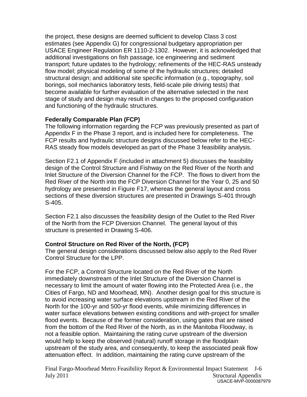the project, these designs are deemed sufficient to develop Class 3 cost estimates (see Appendix G) for congressional budgetary appropriation per USACE Engineer Regulation ER 1110-2-1302. However, it is acknowledged that additional investigations on fish passage, ice engineering and sediment transport; future updates to the hydrology; refinements of the HEC-RAS unsteady flow model; physical modeling of some of the hydraulic structures; detailed structural design; and additional site specific information (e.g., topography, soil borings, soil mechanics laboratory tests, field-scale pile driving tests) that become available for further evaluation of the alternative selected in the next stage of study and design may result in changes to the proposed configuration and functioning of the hydraulic structures.

#### **Federally Comparable Plan (FCP)**

The following information regarding the FCP was previously presented as part of Appendix F in the Phase 3 report, and is included here for completeness. The FCP results and hydraulic structure designs discussed below refer to the HEC-RAS steady flow models developed as part of the Phase 3 feasibility analysis.

Section F2.1 of Appendix F (included in attachment 5) discusses the feasibility design of the Control Structure and Fishway on the Red River of the North and Inlet Structure of the Diversion Channel for the FCP. The flows to divert from the Red River of the North into the FCP Diversion Channel for the Year 0, 25 and 50 hydrology are presented in Figure F17, whereas the general layout and cross sections of these diversion structures are presented in Drawings S-401 through S-405.

Section F2.1 also discusses the feasibility design of the Outlet to the Red River of the North from the FCP Diversion Channel. The general layout of this structure is presented in Drawing S-406.

# **Control Structure on Red River of the North, (FCP)**

The general design considerations discussed below also apply to the Red River Control Structure for the LPP.

For the FCP, a Control Structure located on the Red River of the North immediately downstream of the Inlet Structure of the Diversion Channel is necessary to limit the amount of water flowing into the Protected Area (i.e., the Cities of Fargo, ND and Moorhead, MN). Another design goal for this structure is to avoid increasing water surface elevations upstream in the Red River of the North for the 100-yr and 500-yr flood events, while minimizing differences in water surface elevations between existing conditions and with-project for smaller flood events. Because of the former consideration, using gates that are raised from the bottom of the Red River of the North, as in the Manitoba Floodway, is not a feasible option. Maintaining the rating curve upstream of the diversion would help to keep the observed (natural) runoff storage in the floodplain upstream of the study area, and consequently, to keep the associated peak flow attenuation effect. In addition, maintaining the rating curve upstream of the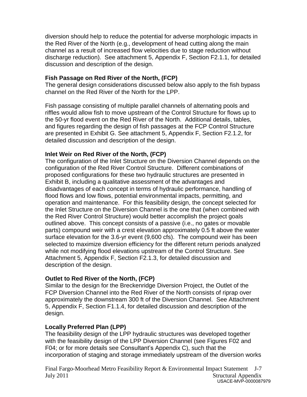diversion should help to reduce the potential for adverse morphologic impacts in the Red River of the North (e.g., development of head cutting along the main channel as a result of increased flow velocities due to stage reduction without discharge reduction). See attachment 5, Appendix F, Section F2.1.1, for detailed discussion and description of the design.

#### **Fish Passage on Red River of the North, (FCP)**

The general design considerations discussed below also apply to the fish bypass channel on the Red River of the North for the LPP.

Fish passage consisting of multiple parallel channels of alternating pools and riffles would allow fish to move upstream of the Control Structure for flows up to the 50-yr flood event on the Red River of the North. Additional details, tables, and figures regarding the design of fish passages at the FCP Control Structure are presented in Exhibit G. See attachment 5, Appendix F, Section F2.1.2, for detailed discussion and description of the design.

### **Inlet Weir on Red River of the North, (FCP)**

The configuration of the Inlet Structure on the Diversion Channel depends on the configuration of the Red River Control Structure. Different combinations of proposed configurations for these two hydraulic structures are presented in Exhibit B, including a qualitative assessment of the advantages and disadvantages of each concept in terms of hydraulic performance, handling of flood flows and low flows, potential environmental impacts, permitting, and operation and maintenance. For this feasibility design, the concept selected for the Inlet Structure on the Diversion Channel is the one that (when combined with the Red River Control Structure) would better accomplish the project goals outlined above. This concept consists of a passive (i.e., no gates or movable parts) compound weir with a crest elevation approximately 0.5 ft above the water surface elevation for the 3.6-yr event (9,600 cfs). The compound weir has been selected to maximize diversion efficiency for the different return periods analyzed while not modifying flood elevations upstream of the Control Structure. See Attachment 5, Appendix F, Section F2.1.3, for detailed discussion and description of the design.

#### **Outlet to Red River of the North, (FCP)**

Similar to the design for the Breckenridge Diversion Project, the Outlet of the FCP Diversion Channel into the Red River of the North consists of riprap over approximately the downstream 300 ft of the Diversion Channel. See Attachment 5, Appendix F, Section F1.1.4, for detailed discussion and description of the design.

#### **Locally Preferred Plan (LPP)**

The feasibility design of the LPP hydraulic structures was developed together with the feasibility design of the LPP Diversion Channel (see Figures F02 and F04; or for more details see Consultant's Appendix C), such that the incorporation of staging and storage immediately upstream of the diversion works

Final Fargo-Moorhead Metro Feasibility Report & Environmental Impact Statement J-7 July 2011 Structural Appendix USACE-MVP-0000087979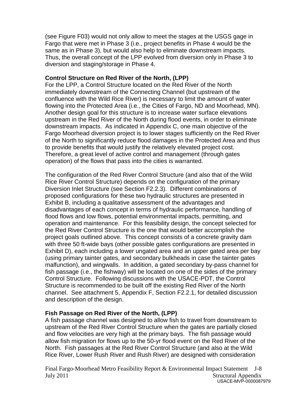(see Figure F03) would not only allow to meet the stages at the USGS gage in Fargo that were met in Phase 3 (i.e., project benefits in Phase 4 would be the same as in Phase 3), but would also help to eliminate downstream impacts. Thus, the overall concept of the LPP evolved from diversion only in Phase 3 to diversion and staging/storage in Phase 4.

#### **Control Structure on Red River of the North, (LPP)**

For the LPP, a Control Structure located on the Red River of the North immediately downstream of the Connecting Channel (but upstream of the confluence with the Wild Rice River) is necessary to limit the amount of water flowing into the Protected Area (i.e., the Cities of Fargo, ND and Moorhead, MN). Another design goal for this structure is to increase water surface elevations upstream in the Red River of the North during flood events, in order to eliminate downstream impacts. As indicated in Appendix C, one main objective of the Fargo Moorhead diversion project is to lower stages sufficiently on the Red River of the North to significantly reduce flood damages in the Protected Area and thus to provide benefits that would justify the relatively elevated project cost. Therefore, a great level of active control and management (through gates operation) of the flows that pass into the cities is warranted.

The configuration of the Red River Control Structure (and also that of the Wild Rice River Control Structure) depends on the configuration of the primary Diversion Inlet Structure (see Section F2.2.3). Different combinations of proposed configurations for these two hydraulic structures are presented in Exhibit B, including a qualitative assessment of the advantages and disadvantages of each concept in terms of hydraulic performance, handling of flood flows and low flows, potential environmental impacts, permitting, and operation and maintenance. For this feasibility design, the concept selected for the Red River Control Structure is the one that would better accomplish the project goals outlined above. This concept consists of a concrete gravity dam with three 50 ft-wide bays (other possible gates configurations are presented in Exhibit D), each including a lower ungated area and an upper gated area per bay (using primary tainter gates, and secondary bulkheads in case the tainter gates malfunction), and wingwalls. In addition, a gated secondary by-pass channel for fish passage (i.e., the fishway) will be located on one of the sides of the primary Control Structure. Following discussions with the USACE-PDT, the Control Structure is recommended to be built off the existing Red River of the North channel. See attachment 5, Appendix F, Section F2.2.1, for detailed discussion and description of the design.

#### **Fish Passage on Red River of the North, (LPP)**

A fish passage channel was designed to allow fish to travel from downstream to upstream of the Red River Control Structure when the gates are partially closed and flow velocities are very high at the primary bays. The fish passage would allow fish migration for flows up to the 50-yr flood event on the Red River of the North. Fish passages at the Red River Control Structure (and also at the Wild Rice River, Lower Rush River and Rush River) are designed with consideration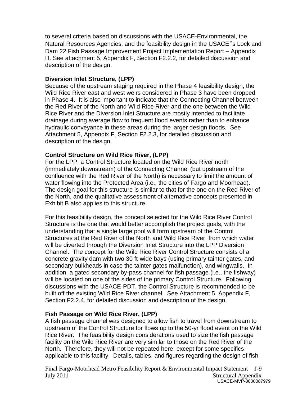to several criteria based on discussions with the USACE-Environmental, the Natural Resources Agencies, and the feasibility design in the USACE"s Lock and Dam 22 Fish Passage Improvement Project Implementation Report – Appendix H. See attachment 5, Appendix F, Section F2.2.2, for detailed discussion and description of the design.

### **Diversion Inlet Structure, (LPP)**

Because of the upstream staging required in the Phase 4 feasibility design, the Wild Rice River east and west weirs considered in Phase 3 have been dropped in Phase 4. It is also important to indicate that the Connecting Channel between the Red River of the North and Wild Rice River and the one between the Wild Rice River and the Diversion Inlet Structure are mostly intended to facilitate drainage during average flow to frequent flood events rather than to enhance hydraulic conveyance in these areas during the larger design floods. See Attachment 5, Appendix F, Section F2.2.3, for detailed discussion and description of the design.

### **Control Structure on Wild Rice River, (LPP)**

For the LPP, a Control Structure located on the Wild Rice River north (immediately downstream) of the Connecting Channel (but upstream of the confluence with the Red River of the North) is necessary to limit the amount of water flowing into the Protected Area (i.e., the cities of Fargo and Moorhead). The design goal for this structure is similar to that for the one on the Red River of the North, and the qualitative assessment of alternative concepts presented in Exhibit B also applies to this structure.

For this feasibility design, the concept selected for the Wild Rice River Control Structure is the one that would better accomplish the project goals, with the understanding that a single large pool will form upstream of the Control Structures at the Red River of the North and Wild Rice River, from which water will be diverted through the Diversion Inlet Structure into the LPP Diversion Channel. The concept for the Wild Rice River Control Structure consists of a concrete gravity dam with two 30 ft-wide bays (using primary tainter gates, and secondary bulkheads in case the tainter gates malfunction), and wingwalls. In addition, a gated secondary by-pass channel for fish passage (i.e., the fishway) will be located on one of the sides of the primary Control Structure. Following discussions with the USACE-PDT, the Control Structure is recommended to be built off the existing Wild Rice River channel. See Attachment 5, Appendix F, Section F2.2.4, for detailed discussion and description of the design.

# **Fish Passage on Wild Rice River, (LPP)**

A fish passage channel was designed to allow fish to travel from downstream to upstream of the Control Structure for flows up to the 50-yr flood event on the Wild Rice River. The feasibility design considerations used to size the fish passage facility on the Wild Rice River are very similar to those on the Red River of the North. Therefore, they will not be repeated here, except for some specifics applicable to this facility. Details, tables, and figures regarding the design of fish

Final Fargo-Moorhead Metro Feasibility Report & Environmental Impact Statement J-9 July 2011 Structural Appendix USACE-MVP-0000087979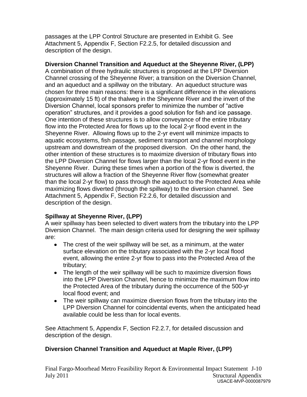passages at the LPP Control Structure are presented in Exhibit G. See Attachment 5, Appendix F, Section F2.2.5, for detailed discussion and description of the design.

**Diversion Channel Transition and Aqueduct at the Sheyenne River, (LPP)** A combination of three hydraulic structures is proposed at the LPP Diversion Channel crossing of the Sheyenne River; a transition on the Diversion Channel, and an aqueduct and a spillway on the tributary. An aqueduct structure was chosen for three main reasons: there is a significant difference in the elevations (approximately 15 ft) of the thalweg in the Sheyenne River and the invert of the Diversion Channel, local sponsors prefer to minimize the number of "active operation" structures, and it provides a good solution for fish and ice passage. One intention of these structures is to allow conveyance of the entire tributary flow into the Protected Area for flows up to the local 2-yr flood event in the Sheyenne River. Allowing flows up to the 2-yr event will minimize impacts to aquatic ecosystems, fish passage, sediment transport and channel morphology upstream and downstream of the proposed diversion. On the other hand, the other intention of these structures is to maximize diversion of tributary flows into the LPP Diversion Channel for flows larger than the local 2-yr flood event in the Sheyenne River. During these times when a portion of the flow is diverted, the structures will allow a fraction of the Sheyenne River flow (somewhat greater than the local 2-yr flow) to pass through the aqueduct to the Protected Area while maximizing flows diverted (through the spillway) to the diversion channel. See Attachment 5, Appendix F, Section F2.2.6, for detailed discussion and description of the design.

# **Spillway at Sheyenne River, (LPP)**

A weir spillway has been selected to divert waters from the tributary into the LPP Diversion Channel. The main design criteria used for designing the weir spillway are:

- The crest of the weir spillway will be set, as a minimum, at the water surface elevation on the tributary associated with the 2-yr local flood event, allowing the entire 2-yr flow to pass into the Protected Area of the tributary;
- The length of the weir spillway will be such to maximize diversion flows into the LPP Diversion Channel, hence to minimize the maximum flow into the Protected Area of the tributary during the occurrence of the 500-yr local flood event; and
- The weir spillway can maximize diversion flows from the tributary into the LPP Diversion Channel for coincidental events, when the anticipated head available could be less than for local events.

See Attachment 5, Appendix F, Section F2.2.7, for detailed discussion and description of the design.

# **Diversion Channel Transition and Aqueduct at Maple River, (LPP)**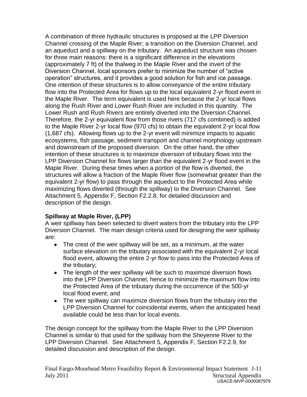A combination of three hydraulic structures is proposed at the LPP Diversion Channel crossing of the Maple River; a transition on the Diversion Channel, and an aqueduct and a spillway on the tributary. An aqueduct structure was chosen for three main reasons: there is a significant difference in the elevations (approximately 7 ft) of the thalweg in the Maple River and the invert of the Diversion Channel, local sponsors prefer to minimize the number of "active operation" structures, and it provides a good solution for fish and ice passage. One intention of these structures is to allow conveyance of the entire tributary flow into the Protected Area for flows up to the local equivalent 2-yr flood event in the Maple River. The term equivalent is used here because the 2-yr local flows along the Rush River and Lower Rush River are included in this quantity. The Lower Rush and Rush Rivers are entirely diverted into the Diversion Channel. Therefore, the 2-yr equivalent flow from those rivers (717 cfs combined) is added to the Maple River 2-yr local flow (970 cfs) to obtain the equivalent 2-yr local flow (1,687 cfs). Allowing flows up to the 2-yr event will minimize impacts to aquatic ecosystems, fish passage, sediment transport and channel morphology upstream and downstream of the proposed diversion. On the other hand, the other intention of these structures is to maximize diversion of tributary flows into the LPP Diversion Channel for flows larger than the equivalent 2-yr flood event in the Maple River. During these times when a portion of the flow is diverted, the structures will allow a fraction of the Maple River flow (somewhat greater than the equivalent 2-yr flow) to pass through the aqueduct to the Protected Area while maximizing flows diverted (through the spillway) to the Diversion Channel. See Attachment 5, Appendix F, Section F2.2.8, for detailed discussion and description of the design.

# **Spillway at Maple River, (LPP)**

A weir spillway has been selected to divert waters from the tributary into the LPP Diversion Channel. The main design criteria used for designing the weir spillway are:

- The crest of the weir spillway will be set, as a minimum, at the water surface elevation on the tributary associated with the equivalent 2-yr local flood event, allowing the entire 2-yr flow to pass into the Protected Area of the tributary;
- The length of the weir spillway will be such to maximize diversion flows into the LPP Diversion Channel, hence to minimize the maximum flow into the Protected Area of the tributary during the occurrence of the 500-yr local flood event; and
- The weir spillway can maximize diversion flows from the tributary into the LPP Diversion Channel for coincidental events, when the anticipated head available could be less than for local events.

The design concept for the spillway from the Maple River to the LPP Diversion Channel is similar to that used for the spillway from the Sheyenne River to the LPP Diversion Channel. See Attachment 5, Appendix F, Section F2.2.9, for detailed discussion and description of the design.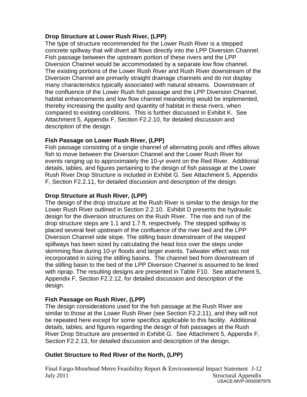# **Drop Structure at Lower Rush River, (LPP)**

The type of structure recommended for the Lower Rush River is a stepped concrete spillway that will divert all flows directly into the LPP Diversion Channel. Fish passage between the upstream portion of these rivers and the LPP Diversion Channel would be accommodated by a separate low flow channel. The existing portions of the Lower Rush River and Rush River downstream of the Diversion Channel are primarily straight drainage channels and do not display many characteristics typically associated with natural streams. Downstream of the confluence of the Lower Rush fish passage and the LPP Diversion Channel, habitat enhancements and low flow channel meandering would be implemented, thereby increasing the quality and quantity of habitat in these rivers, when compared to existing conditions. This is further discussed in Exhibit K. See Attachment 5, Appendix F, Section F2.2.10, for detailed discussion and description of the design.

### **Fish Passage on Lower Rush River, (LPP)**

Fish passage consisting of a single channel of alternating pools and riffles allows fish to move between the Diversion Channel and the Lower Rush River for events ranging up to approximately the 10-yr event on the Red River. Additional details, tables, and figures pertaining to the design of fish passage at the Lower Rush River Drop Structure is included in Exhibit G. See Attachment 5, Appendix F, Section F2.2.11, for detailed discussion and description of the design.

# **Drop Structure at Rush River, (LPP)**

The design of the drop structure at the Rush River is similar to the design for the Lower Rush River outlined in Section 2.2.10. Exhibit D presents the hydraulic design for the diversion structures on the Rush River. The rise and run of the drop structure steps are 1.1 and 1.7 ft, respectively. The stepped spillway is placed several feet upstream of the confluence of the river bed and the LPP Diversion Channel side slope. The stilling basin downstream of the stepped spillways has been sized by calculating the head loss over the steps under skimming flow during 10-yr floods and larger events. Tailwater effect was not incorporated in sizing the stilling basins. The channel bed from downstream of the stilling basin to the bed of the LPP Diversion Channel is assumed to be lined with riprap. The resulting designs are presented in Table F10. See attachment 5, Appendix F, Section F2.2.12, for detailed discussion and description of the design.

#### **Fish Passage on Rush River, (LPP)**

The design considerations used for the fish passage at the Rush River are similar to those at the Lower Rush River (see Section F2.2.11), and they will not be repeated here except for some specifics applicable to this facility. Additional details, tables, and figures regarding the design of fish passages at the Rush River Drop Structure are presented in Exhibit G. See Attachment 5, Appendix F, Section F2.2.13, for detailed discussion and description of the design.

# **Outlet Structure to Red River of the North, (LPP)**

Final Fargo-Moorhead Metro Feasibility Report & Environmental Impact Statement J-12 July 2011 Structural Appendix USACE-MVP-0000087979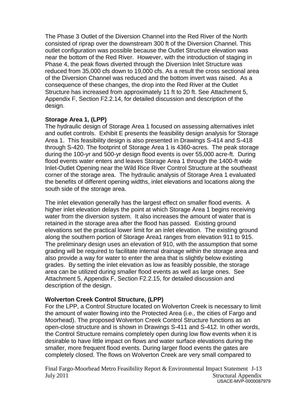The Phase 3 Outlet of the Diversion Channel into the Red River of the North consisted of riprap over the downstream 300 ft of the Diversion Channel. This outlet configuration was possible because the Outlet Structure elevation was near the bottom of the Red River. However, with the introduction of staging in Phase 4, the peak flows diverted through the Diversion Inlet Structure was reduced from 35,000 cfs down to 19,000 cfs. As a result the cross sectional area of the Diversion Channel was reduced and the bottom invert was raised. As a consequence of these changes, the drop into the Red River at the Outlet Structure has increased from approximately 11 ft to 20 ft. See Attachment 5, Appendix F, Section F2.2.14, for detailed discussion and description of the design.

#### **Storage Area 1, (LPP)**

The hydraulic design of Storage Area 1 focused on assessing alternatives inlet and outlet controls. Exhibit E presents the feasibility design analysis for Storage Area 1. This feasibility design is also presented in Drawings S-414 and S-418 through S-420. The footprint of Storage Area 1 is 4360-acres. The peak storage during the 100-yr and 500-yr design flood events is over 55,000 acre-ft. During flood events water enters and leaves Storage Area 1 through the 1400-ft wide Inlet-Outlet Opening near the Wild Rice River Control Structure at the southeast corner of the storage area. The hydraulic analysis of Storage Area 1 evaluated the benefits of different opening widths, inlet elevations and locations along the south side of the storage area.

The inlet elevation generally has the largest effect on smaller flood events. A higher inlet elevation delays the point at which Storage Area 1 begins receiving water from the diversion system. It also increases the amount of water that is retained in the storage area after the flood has passed. Existing ground elevations set the practical lower limit for an inlet elevation. The existing ground along the southern portion of Storage Area1 ranges from elevation 911 to 915. The preliminary design uses an elevation of 910, with the assumption that some grading will be required to facilitate internal drainage within the storage area and also provide a way for water to enter the area that is slightly below existing grades. By setting the inlet elevation as low as feasibly possible, the storage area can be utilized during smaller flood events as well as large ones. See Attachment 5, Appendix F, Section F2.2.15, for detailed discussion and description of the design.

#### **Wolverton Creek Control Structure, (LPP)**

For the LPP, a Control Structure located on Wolverton Creek is necessary to limit the amount of water flowing into the Protected Area (i.e., the cities of Fargo and Moorhead). The proposed Wolverton Creek Control Structure functions as an open-close structure and is shown in Drawings S-411 and S-412. In other words, the Control Structure remains completely open during low flow events when it is desirable to have little impact on flows and water surface elevations during the smaller, more frequent flood events. During larger flood events the gates are completely closed. The flows on Wolverton Creek are very small compared to

Final Fargo-Moorhead Metro Feasibility Report & Environmental Impact Statement J-13 July 2011 Structural Appendix USACE-MVP-0000087979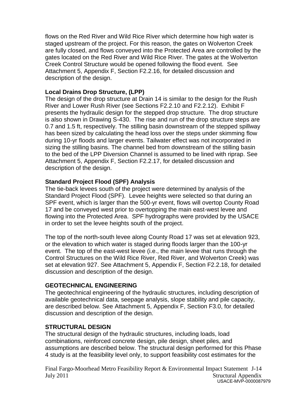flows on the Red River and Wild Rice River which determine how high water is staged upstream of the project. For this reason, the gates on Wolverton Creek are fully closed, and flows conveyed into the Protected Area are controlled by the gates located on the Red River and Wild Rice River. The gates at the Wolverton Creek Control Structure would be opened following the flood event. See Attachment 5, Appendix F, Section F2.2.16, for detailed discussion and description of the design.

#### **Local Drains Drop Structure, (LPP)**

The design of the drop structure at Drain 14 is similar to the design for the Rush River and Lower Rush River (see Sections F2.2.10 and F2.2.12). Exhibit F presents the hydraulic design for the stepped drop structure. The drop structure is also shown in Drawing S-430. The rise and run of the drop structure steps are 0.7 and 1.5 ft, respectively. The stilling basin downstream of the stepped spillway has been sized by calculating the head loss over the steps under skimming flow during 10-yr floods and larger events. Tailwater effect was not incorporated in sizing the stilling basins. The channel bed from downstream of the stilling basin to the bed of the LPP Diversion Channel is assumed to be lined with riprap. See Attachment 5, Appendix F, Section F2.2.17, for detailed discussion and description of the design.

### **Standard Project Flood (SPF) Analysis**

The tie-back levees south of the project were determined by analysis of the Standard Project Flood (SPF). Levee heights were selected so that during an SPF event, which is larger than the 500-yr event, flows will overtop County Road 17 and be conveyed west prior to overtopping the main east-west levee and flowing into the Protected Area. SPF hydrographs were provided by the USACE in order to set the levee heights south of the project.

The top of the north-south levee along County Road 17 was set at elevation 923, or the elevation to which water is staged during floods larger than the 100-yr event. The top of the east-west levee (i.e., the main levee that runs through the Control Structures on the Wild Rice River, Red River, and Wolverton Creek) was set at elevation 927. See Attachment 5, Appendix F, Section F2.2.18, for detailed discussion and description of the design.

#### **GEOTECHNICAL ENGINEERING**

The geotechnical engineering of the hydraulic structures, including description of available geotechnical data, seepage analysis, slope stability and pile capacity, are described below. See Attachment 5, Appendix F, Section F3.0, for detailed discussion and description of the design.

#### **STRUCTURAL DESIGN**

The structural design of the hydraulic structures, including loads, load combinations, reinforced concrete design, pile design, sheet piles, and assumptions are described below. The structural design performed for this Phase 4 study is at the feasibility level only, to support feasibility cost estimates for the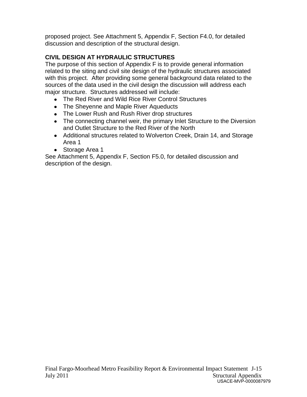proposed project. See Attachment 5, Appendix F, Section F4.0, for detailed discussion and description of the structural design.

# **CIVIL DESIGN AT HYDRAULIC STRUCTURES**

The purpose of this section of Appendix F is to provide general information related to the siting and civil site design of the hydraulic structures associated with this project. After providing some general background data related to the sources of the data used in the civil design the discussion will address each major structure. Structures addressed will include:

- The Red River and Wild Rice River Control Structures
- The Sheyenne and Maple River Aqueducts
- The Lower Rush and Rush River drop structures
- The connecting channel weir, the primary Inlet Structure to the Diversion and Outlet Structure to the Red River of the North
- Additional structures related to Wolverton Creek, Drain 14, and Storage Area 1
- Storage Area 1

See Attachment 5, Appendix F, Section F5.0, for detailed discussion and description of the design.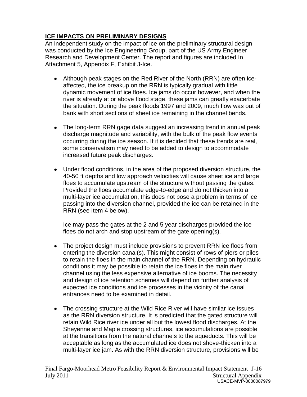# **ICE IMPACTS ON PRELIMINARY DESIGNS**

An independent study on the impact of ice on the preliminary structural design was conducted by the Ice Engineering Group, part of the US Army Engineer Research and Development Center. The report and figures are included In Attachment 5, Appendix F, Exhibit J-Ice.

- Although peak stages on the Red River of the North (RRN) are often iceaffected, the ice breakup on the RRN is typically gradual with little dynamic movement of ice floes. Ice jams do occur however, and when the river is already at or above flood stage, these jams can greatly exacerbate the situation. During the peak floods 1997 and 2009, much flow was out of bank with short sections of sheet ice remaining in the channel bends.
- The long-term RRN gage data suggest an increasing trend in annual peak discharge magnitude and variability, with the bulk of the peak flow events occurring during the ice season. If it is decided that these trends are real, some conservatism may need to be added to design to accommodate increased future peak discharges.
- Under flood conditions, in the area of the proposed diversion structure, the 40-50 ft depths and low approach velocities will cause sheet ice and large floes to accumulate upstream of the structure without passing the gates. Provided the floes accumulate edge-to-edge and do not thicken into a multi-layer ice accumulation, this does not pose a problem in terms of ice passing into the diversion channel, provided the ice can be retained in the RRN (see Item 4 below).

Ice may pass the gates at the 2 and 5 year discharges provided the ice floes do not arch and stop upstream of the gate opening(s).

- The project design must include provisions to prevent RRN ice floes from entering the diversion canal(s). This might consist of rows of piers or piles to retain the floes in the main channel of the RRN. Depending on hydraulic conditions it may be possible to retain the ice floes in the main river channel using the less expensive alternative of ice booms. The necessity and design of ice retention schemes will depend on further analysis of expected ice conditions and ice processes in the vicinity of the canal entrances need to be examined in detail.
- The crossing structure at the Wild Rice River will have similar ice issues as the RRN diversion structure. It is predicted that the gated structure will retain Wild Rice river ice under all but the lowest flood discharges. At the Sheyenne and Maple crossing structures, ice accumulations are possible at the transitions from the natural channels to the aqueducts. This will be acceptable as long as the accumulated ice does not shove-thicken into a multi-layer ice jam. As with the RRN diversion structure, provisions will be